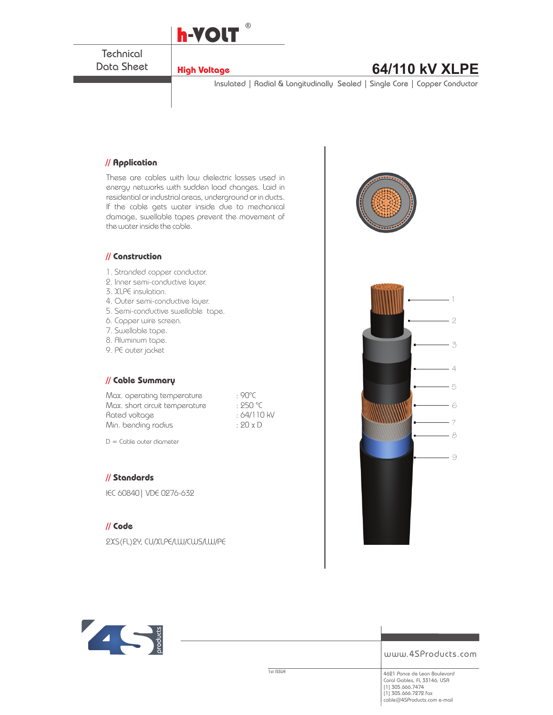

**Technical** Data Sheet

## **High Voltage 64/110 kV XLPE**

Insulated | Radial & Longitudinally Sealed | Single Core | Copper Conductor

#### **// Application**

These are cables with low dielectric losses used in energy networks with sudden load changes. Laid in residential or industrial areas, underground or in ducts. If the cable gets water inside due to mechanical damage, swellable tapes prevent the movement of the water inside the cable.

#### **// Construction**

- 1. Stranded copper conductor.
- 2. Inner semi-conductive layer.
- 3. XLPE insulation.
- 4. Outer semi-conductive layer.
- 5. Semi-conductive swellable tape.
- 6. Copper wire screen.
- 7. Swellable tape.
- 8. Aluminum tape.
- 9. PE outer jacket

#### **// Cable Summary**

Max. operating temperature : 90°C Max. short circuit temperature : 250 °C Rated voltage  $: 64/110$  kV Min. bending radius : 20 x D

 $D =$  Cable outer diameter

#### **// Standards**

IEC 60840| VDE 0276-632

#### **// Code**

2XS(FL)2Y, CU/XLPE/LW/CWS/LW/PE







www.4SProducts.com